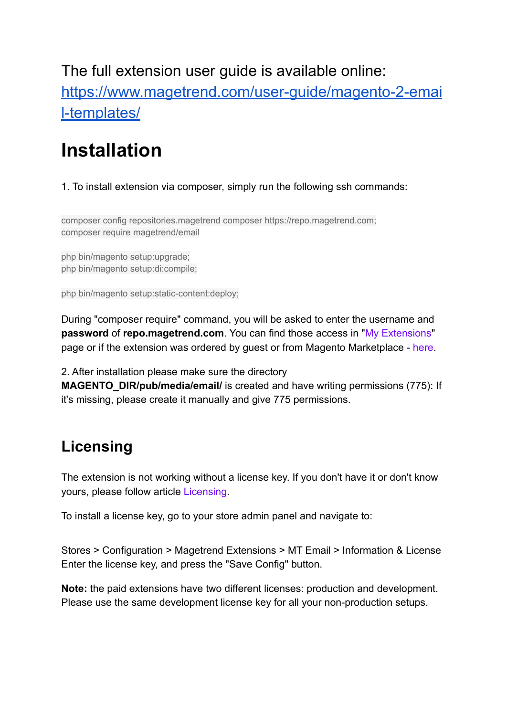The full extension user guide is available online: [https://www.magetrend.com/user-guide/magento-2-emai](https://www.magetrend.com/user-guide/magento-2-email-templates/) [l-templates/](https://www.magetrend.com/user-guide/magento-2-email-templates/)

## **Installation**

## 1. To install extension via composer, simply run the following ssh commands:

composer config repositories.magetrend composer https://repo.magetrend.com; composer require magetrend/email

php bin/magento setup:upgrade; php bin/magento setup:di:compile;

php bin/magento setup:static-content:deploy;

During "composer require" command, you will be asked to enter the username and **password** of **repo.magetrend.com**. You can find those access in ["My Extensions](https://www.magetrend.com/downloadable/customer/products/)" page or if the extension was ordered by guest or from Magento Marketplace - [here.](https://www.magetrend.com/get)

2. After installation please make sure the directory

**MAGENTO\_DIR/pub/media/email/** is created and have writing permissions (775): If it's missing, please create it manually and give 775 permissions.

## **Licensing**

The extension is not working without a license key. If you don't have it or don't know yours, please follow article [Licensing.](https://www.magetrend.com/user-guide/magento-2-email-templates/licensing)

To install a license key, go to your store admin panel and navigate to:

Stores > Configuration > Magetrend Extensions > MT Email > Information & License Enter the license key, and press the "Save Config" button.

**Note:** the paid extensions have two different licenses: production and development. Please use the same development license key for all your non-production setups.